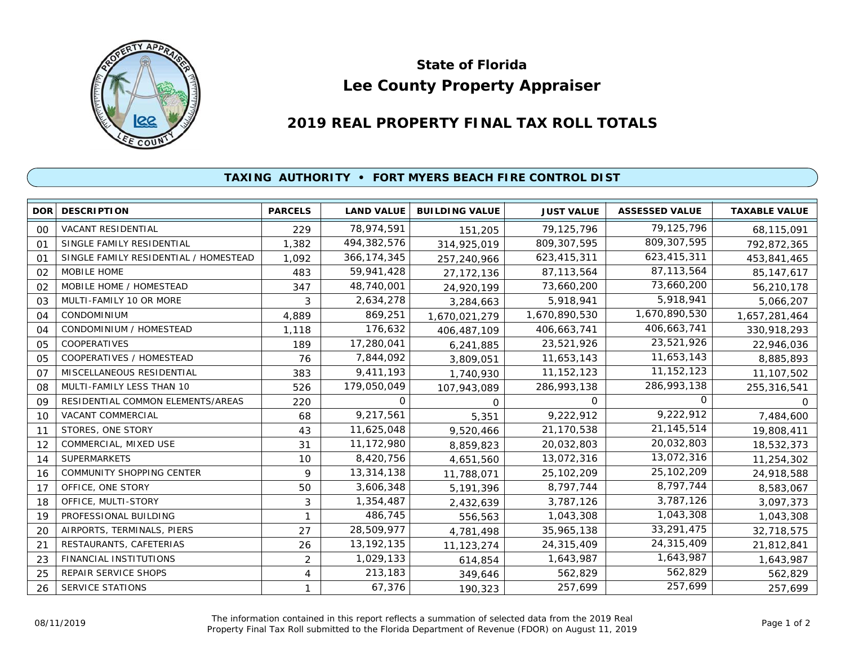

## **Lee County Property Appraiser State of Florida**

## **2019 REAL PROPERTY FINAL TAX ROLL TOTALS**

## **TAXING AUTHORITY • FORT MYERS BEACH FIRE CONTROL DIST**

| <b>DOR</b>     | <b>DESCRIPTION</b>                    | <b>PARCELS</b> | <b>LAND VALUE</b> | <b>BUILDING VALUE</b> | <b>JUST VALUE</b> | <b>ASSESSED VALUE</b> | <b>TAXABLE VALUE</b> |
|----------------|---------------------------------------|----------------|-------------------|-----------------------|-------------------|-----------------------|----------------------|
| 00             | <b>VACANT RESIDENTIAL</b>             | 229            | 78,974,591        | 151,205               | 79,125,796        | 79,125,796            | 68,115,091           |
| O <sub>1</sub> | SINGLE FAMILY RESIDENTIAL             | 1,382          | 494,382,576       | 314,925,019           | 809, 307, 595     | 809, 307, 595         | 792,872,365          |
| O <sub>1</sub> | SINGLE FAMILY RESIDENTIAL / HOMESTEAD | 1.092          | 366, 174, 345     | 257,240,966           | 623,415,311       | 623,415,311           | 453,841,465          |
| 02             | MOBILE HOME                           | 483            | 59,941,428        | 27, 172, 136          | 87, 113, 564      | 87,113,564            | 85, 147, 617         |
| 02             | MOBILE HOME / HOMESTEAD               | 347            | 48,740,001        | 24,920,199            | 73,660,200        | 73,660,200            | 56,210,178           |
| 03             | MULTI-FAMILY 10 OR MORE               | 3              | 2,634,278         | 3,284,663             | 5,918,941         | 5,918,941             | 5,066,207            |
| 04             | <b>CONDOMINIUM</b>                    | 4,889          | 869,251           | 1,670,021,279         | 1,670,890,530     | 1,670,890,530         | 1,657,281,464        |
| 04             | CONDOMINIUM / HOMESTEAD               | 1,118          | 176,632           | 406,487,109           | 406,663,741       | 406,663,741           | 330,918,293          |
| 05             | <b>COOPERATIVES</b>                   | 189            | 17,280,041        | 6,241,885             | 23,521,926        | 23,521,926            | 22,946,036           |
| 05             | COOPERATIVES / HOMESTEAD              | 76             | 7,844,092         | 3,809,051             | 11,653,143        | 11,653,143            | 8,885,893            |
| O <sub>7</sub> | MISCELLANEOUS RESIDENTIAL             | 383            | 9,411,193         | 1,740,930             | 11, 152, 123      | 11, 152, 123          | 11,107,502           |
| 08             | MULTI-FAMILY LESS THAN 10             | 526            | 179,050,049       | 107,943,089           | 286,993,138       | 286,993,138           | 255,316,541          |
| 09             | RESIDENTIAL COMMON ELEMENTS/AREAS     | 220            | 0                 | $\Omega$              | $\Omega$          | 0                     | O.                   |
| 10             | VACANT COMMERCIAL                     | 68             | 9,217,561         | 5,351                 | 9,222,912         | 9,222,912             | 7,484,600            |
| 11             | STORES, ONE STORY                     | 43             | 11,625,048        | 9,520,466             | 21,170,538        | 21, 145, 514          | 19,808,411           |
| 12             | COMMERCIAL, MIXED USE                 | 31             | 11,172,980        | 8,859,823             | 20,032,803        | 20,032,803            | 18,532,373           |
| 14             | <b>SUPERMARKETS</b>                   | 10             | 8,420,756         | 4,651,560             | 13,072,316        | 13,072,316            | 11,254,302           |
| 16             | COMMUNITY SHOPPING CENTER             | 9              | 13,314,138        | 11,788,071            | 25, 102, 209      | 25,102,209            | 24,918,588           |
| 17             | OFFICE, ONE STORY                     | 50             | 3,606,348         | 5,191,396             | 8,797,744         | 8,797,744             | 8,583,067            |
| 18             | OFFICE, MULTI-STORY                   | 3              | 1,354,487         | 2,432,639             | 3,787,126         | 3,787,126             | 3,097,373            |
| 19             | PROFESSIONAL BUILDING                 |                | 486,745           | 556,563               | 1,043,308         | 1,043,308             | 1,043,308            |
| 20             | AIRPORTS, TERMINALS, PIERS            | 27             | 28,509,977        | 4,781,498             | 35,965,138        | 33,291,475            | 32,718,575           |
| 21             | RESTAURANTS, CAFETERIAS               | 26             | 13, 192, 135      | 11,123,274            | 24,315,409        | 24,315,409            | 21,812,841           |
| 23             | FINANCIAL INSTITUTIONS                | $\overline{2}$ | 1,029,133         | 614,854               | 1,643,987         | 1,643,987             | 1,643,987            |
| 25             | REPAIR SERVICE SHOPS                  | 4              | 213,183           | 349,646               | 562,829           | 562,829               | 562,829              |
| 26             | <b>SERVICE STATIONS</b>               |                | 67,376            | 190,323               | 257,699           | 257,699               | 257,699              |